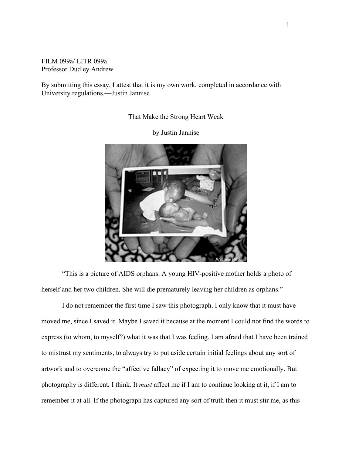## FILM 099a/ LITR 099a Professor Dudley Andrew

By submitting this essay, I attest that it is my own work, completed in accordance with University regulations.—Justin Jannise

## That Make the Strong Heart Weak

by Justin Jannise



"This is a picture of AIDS orphans. A young HIV-positive mother holds a photo of herself and her two children. She will die prematurely leaving her children as orphans."

I do not remember the first time I saw this photograph. I only know that it must have moved me, since I saved it. Maybe I saved it because at the moment I could not find the words to express (to whom, to myself?) what it was that I was feeling. I am afraid that I have been trained to mistrust my sentiments, to always try to put aside certain initial feelings about any sort of artwork and to overcome the "affective fallacy" of expecting it to move me emotionally. But photography is different, I think. It *must* affect me if I am to continue looking at it, if I am to remember it at all. If the photograph has captured any sort of truth then it must stir me, as this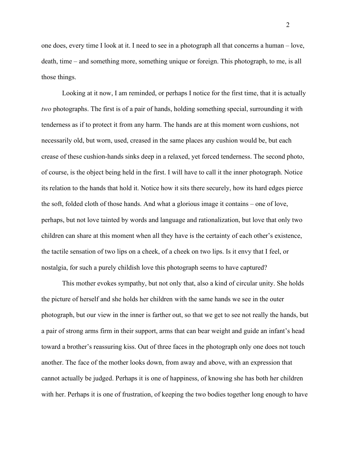one does, every time I look at it. I need to see in a photograph all that concerns a human – love, death, time – and something more, something unique or foreign. This photograph, to me, is all those things.

Looking at it now, I am reminded, or perhaps I notice for the first time, that it is actually *two* photographs. The first is of a pair of hands, holding something special, surrounding it with tenderness as if to protect it from any harm. The hands are at this moment worn cushions, not necessarily old, but worn, used, creased in the same places any cushion would be, but each crease of these cushion-hands sinks deep in a relaxed, yet forced tenderness. The second photo, of course, is the object being held in the first. I will have to call it the inner photograph. Notice its relation to the hands that hold it. Notice how it sits there securely, how its hard edges pierce the soft, folded cloth of those hands. And what a glorious image it contains – one of love, perhaps, but not love tainted by words and language and rationalization, but love that only two children can share at this moment when all they have is the certainty of each other's existence, the tactile sensation of two lips on a cheek, of a cheek on two lips. Is it envy that I feel, or nostalgia, for such a purely childish love this photograph seems to have captured?

This mother evokes sympathy, but not only that, also a kind of circular unity. She holds the picture of herself and she holds her children with the same hands we see in the outer photograph, but our view in the inner is farther out, so that we get to see not really the hands, but a pair of strong arms firm in their support, arms that can bear weight and guide an infant's head toward a brother's reassuring kiss. Out of three faces in the photograph only one does not touch another. The face of the mother looks down, from away and above, with an expression that cannot actually be judged. Perhaps it is one of happiness, of knowing she has both her children with her. Perhaps it is one of frustration, of keeping the two bodies together long enough to have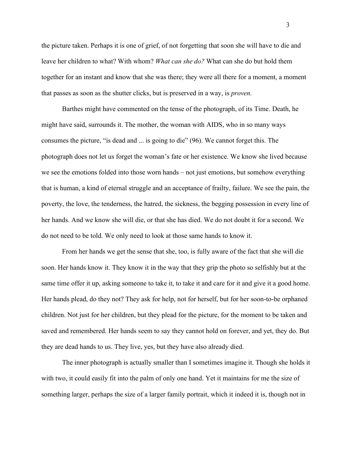the picture taken. Perhaps it is one of grief, of not forgetting that soon she will have to die and leave her children to what? With whom? *What can she do?* What can she do but hold them together for an instant and know that she was there; they were all there for a moment, a moment that passes as soon as the shutter clicks, but is preserved in a way, is *proven.*

Barthes might have commented on the tense of the photograph, of its Time. Death, he might have said, surrounds it. The mother, the woman with AIDS, who in so many ways consumes the picture, "is dead and ... is going to die" (96). We cannot forget this. The photograph does not let us forget the woman's fate or her existence. We know she lived because we see the emotions folded into those worn hands – not just emotions, but somehow everything that is human, a kind of eternal struggle and an acceptance of frailty, failure. We see the pain, the poverty, the love, the tenderness, the hatred, the sickness, the begging possession in every line of her hands. And we know she will die, or that she has died. We do not doubt it for a second. We do not need to be told. We only need to look at those same hands to know it.

From her hands we get the sense that she, too, is fully aware of the fact that she will die soon. Her hands know it. They know it in the way that they grip the photo so selfishly but at the same time offer it up, asking someone to take it, to take it and care for it and give it a good home. Her hands plead, do they not? They ask for help, not for herself, but for her soon-to-be orphaned children. Not just for her children, but they plead for the picture, for the moment to be taken and saved and remembered. Her hands seem to say they cannot hold on forever, and yet, they do. But they are dead hands to us. They live, yes, but they have also already died.

The inner photograph is actually smaller than I sometimes imagine it. Though she holds it with two, it could easily fit into the palm of only one hand. Yet it maintains for me the size of something larger, perhaps the size of a larger family portrait, which it indeed it is, though not in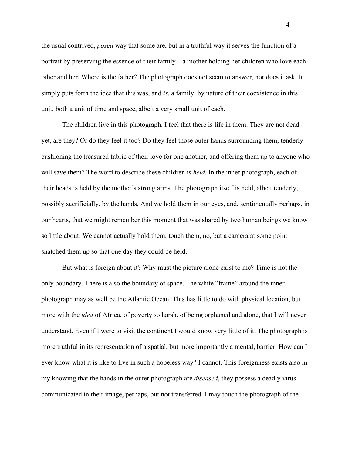the usual contrived, *posed* way that some are, but in a truthful way it serves the function of a portrait by preserving the essence of their family – a mother holding her children who love each other and her. Where is the father? The photograph does not seem to answer, nor does it ask. It simply puts forth the idea that this was, and *is*, a family, by nature of their coexistence in this unit, both a unit of time and space, albeit a very small unit of each.

The children live in this photograph. I feel that there is life in them. They are not dead yet, are they? Or do they feel it too? Do they feel those outer hands surrounding them, tenderly cushioning the treasured fabric of their love for one another, and offering them up to anyone who will save them? The word to describe these children is *held*. In the inner photograph, each of their heads is held by the mother's strong arms. The photograph itself is held, albeit tenderly, possibly sacrificially, by the hands. And we hold them in our eyes, and, sentimentally perhaps, in our hearts, that we might remember this moment that was shared by two human beings we know so little about. We cannot actually hold them, touch them, no, but a camera at some point snatched them up so that one day they could be held.

But what is foreign about it? Why must the picture alone exist to me? Time is not the only boundary. There is also the boundary of space. The white "frame" around the inner photograph may as well be the Atlantic Ocean. This has little to do with physical location, but more with the *idea* of Africa, of poverty so harsh, of being orphaned and alone, that I will never understand. Even if I were to visit the continent I would know very little of it. The photograph is more truthful in its representation of a spatial, but more importantly a mental, barrier. How can I ever know what it is like to live in such a hopeless way? I cannot. This foreignness exists also in my knowing that the hands in the outer photograph are *diseased*, they possess a deadly virus communicated in their image, perhaps, but not transferred. I may touch the photograph of the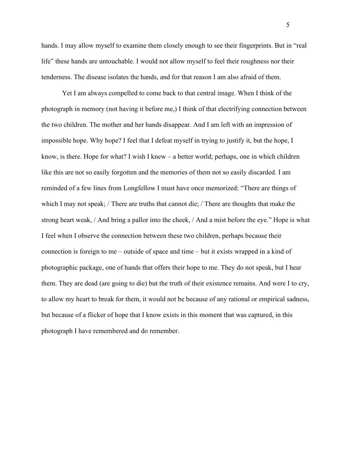hands. I may allow myself to examine them closely enough to see their fingerprints. But in "real life" these hands are untouchable. I would not allow myself to feel their roughness nor their tenderness. The disease isolates the hands, and for that reason I am also afraid of them.

Yet I am always compelled to come back to that central image. When I think of the photograph in memory (not having it before me,) I think of that electrifying connection between the two children. The mother and her hands disappear. And I am left with an impression of impossible hope. Why hope? I feel that I defeat myself in trying to justify it, but the hope, I know, is there. Hope for what? I wish I knew – a better world; perhaps, one in which children like this are not so easily forgotten and the memories of them not so easily discarded. I am reminded of a few lines from Longfellow I must have once memorized: "There are things of which I may not speak; / There are truths that cannot die; / There are thoughts that make the strong heart weak, / And bring a pallor into the cheek, / And a mist before the eye." Hope is what I feel when I observe the connection between these two children, perhaps because their connection is foreign to me – outside of space and time – but it exists wrapped in a kind of photographic package, one of hands that offers their hope to me. They do not speak, but I hear them. They are dead (are going to die) but the truth of their existence remains. And were I to cry, to allow my heart to break for them, it would not be because of any rational or empirical sadness, but because of a flicker of hope that I know exists in this moment that was captured, in this photograph I have remembered and do remember.